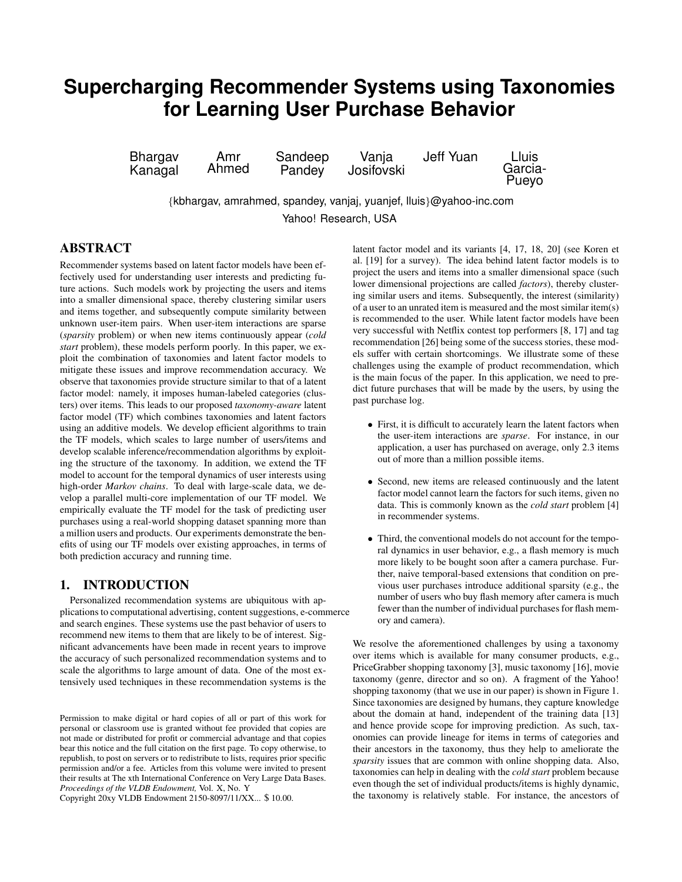# **Supercharging Recommender Systems using Taxonomies for Learning User Purchase Behavior**

Bhargav Kanagal

Amr Ahmed Sandeep Pandey

Vania Josifovski Jeff Yuan Lluis Garcia-Pueyo

{kbhargav, amrahmed, spandey, vanjaj, yuanjef, lluis}@yahoo-inc.com Yahoo! Research, USA

# ABSTRACT

Recommender systems based on latent factor models have been effectively used for understanding user interests and predicting future actions. Such models work by projecting the users and items into a smaller dimensional space, thereby clustering similar users and items together, and subsequently compute similarity between unknown user-item pairs. When user-item interactions are sparse (*sparsity* problem) or when new items continuously appear (*cold start* problem), these models perform poorly. In this paper, we exploit the combination of taxonomies and latent factor models to mitigate these issues and improve recommendation accuracy. We observe that taxonomies provide structure similar to that of a latent factor model: namely, it imposes human-labeled categories (clusters) over items. This leads to our proposed *taxonomy-aware* latent factor model (TF) which combines taxonomies and latent factors using an additive models. We develop efficient algorithms to train the TF models, which scales to large number of users/items and develop scalable inference/recommendation algorithms by exploiting the structure of the taxonomy. In addition, we extend the TF model to account for the temporal dynamics of user interests using high-order *Markov chains*. To deal with large-scale data, we develop a parallel multi-core implementation of our TF model. We empirically evaluate the TF model for the task of predicting user purchases using a real-world shopping dataset spanning more than a million users and products. Our experiments demonstrate the benefits of using our TF models over existing approaches, in terms of both prediction accuracy and running time.

# 1. INTRODUCTION

Personalized recommendation systems are ubiquitous with applications to computational advertising, content suggestions, e-commerce and search engines. These systems use the past behavior of users to recommend new items to them that are likely to be of interest. Significant advancements have been made in recent years to improve the accuracy of such personalized recommendation systems and to scale the algorithms to large amount of data. One of the most extensively used techniques in these recommendation systems is the

Copyright 20xy VLDB Endowment 2150-8097/11/XX... \$ 10.00.

latent factor model and its variants [4, 17, 18, 20] (see Koren et al. [19] for a survey). The idea behind latent factor models is to project the users and items into a smaller dimensional space (such lower dimensional projections are called *factors*), thereby clustering similar users and items. Subsequently, the interest (similarity) of a user to an unrated item is measured and the most similar item(s) is recommended to the user. While latent factor models have been very successful with Netflix contest top performers [8, 17] and tag recommendation [26] being some of the success stories, these models suffer with certain shortcomings. We illustrate some of these challenges using the example of product recommendation, which is the main focus of the paper. In this application, we need to predict future purchases that will be made by the users, by using the past purchase log.

- First, it is difficult to accurately learn the latent factors when the user-item interactions are *sparse*. For instance, in our application, a user has purchased on average, only 2.3 items out of more than a million possible items.
- Second, new items are released continuously and the latent factor model cannot learn the factors for such items, given no data. This is commonly known as the *cold start* problem [4] in recommender systems.
- Third, the conventional models do not account for the temporal dynamics in user behavior, e.g., a flash memory is much more likely to be bought soon after a camera purchase. Further, naive temporal-based extensions that condition on previous user purchases introduce additional sparsity (e.g., the number of users who buy flash memory after camera is much fewer than the number of individual purchases for flash memory and camera).

We resolve the aforementioned challenges by using a taxonomy over items which is available for many consumer products, e.g., PriceGrabber shopping taxonomy [3], music taxonomy [16], movie taxonomy (genre, director and so on). A fragment of the Yahoo! shopping taxonomy (that we use in our paper) is shown in Figure 1. Since taxonomies are designed by humans, they capture knowledge about the domain at hand, independent of the training data [13] and hence provide scope for improving prediction. As such, taxonomies can provide lineage for items in terms of categories and their ancestors in the taxonomy, thus they help to ameliorate the *sparsity* issues that are common with online shopping data. Also, taxonomies can help in dealing with the *cold start* problem because even though the set of individual products/items is highly dynamic, the taxonomy is relatively stable. For instance, the ancestors of

Permission to make digital or hard copies of all or part of this work for personal or classroom use is granted without fee provided that copies are not made or distributed for profit or commercial advantage and that copies bear this notice and the full citation on the first page. To copy otherwise, to republish, to post on servers or to redistribute to lists, requires prior specific permission and/or a fee. Articles from this volume were invited to present their results at The xth International Conference on Very Large Data Bases. *Proceedings of the VLDB Endowment,* Vol. X, No. Y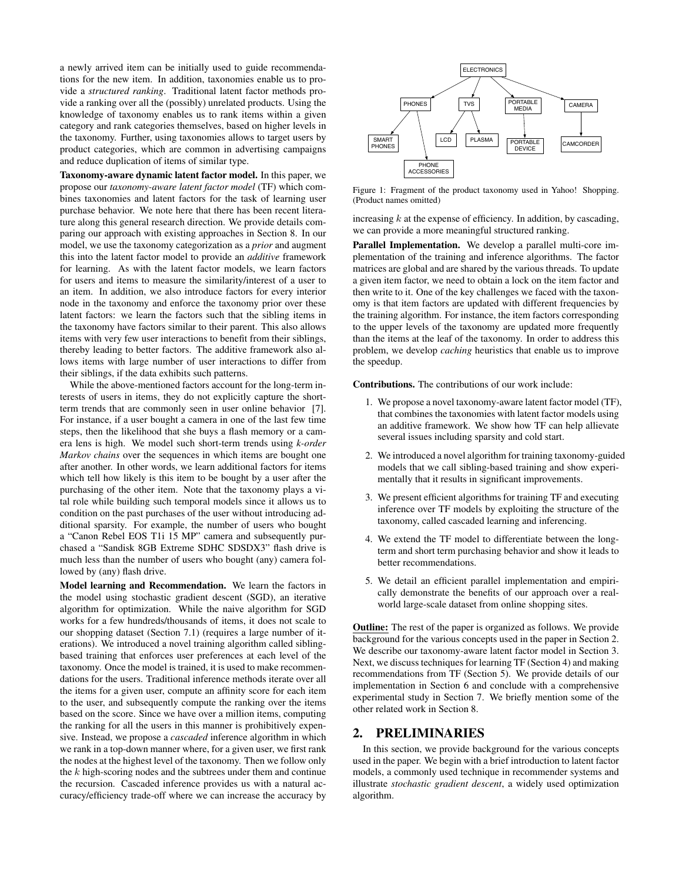a newly arrived item can be initially used to guide recommendations for the new item. In addition, taxonomies enable us to provide a *structured ranking*. Traditional latent factor methods provide a ranking over all the (possibly) unrelated products. Using the knowledge of taxonomy enables us to rank items within a given category and rank categories themselves, based on higher levels in the taxonomy. Further, using taxonomies allows to target users by product categories, which are common in advertising campaigns and reduce duplication of items of similar type.

Taxonomy-aware dynamic latent factor model. In this paper, we propose our *taxonomy-aware latent factor model* (TF) which combines taxonomies and latent factors for the task of learning user purchase behavior. We note here that there has been recent literature along this general research direction. We provide details comparing our approach with existing approaches in Section 8. In our model, we use the taxonomy categorization as a *prior* and augment this into the latent factor model to provide an *additive* framework for learning. As with the latent factor models, we learn factors for users and items to measure the similarity/interest of a user to an item. In addition, we also introduce factors for every interior node in the taxonomy and enforce the taxonomy prior over these latent factors: we learn the factors such that the sibling items in the taxonomy have factors similar to their parent. This also allows items with very few user interactions to benefit from their siblings, thereby leading to better factors. The additive framework also allows items with large number of user interactions to differ from their siblings, if the data exhibits such patterns.

While the above-mentioned factors account for the long-term interests of users in items, they do not explicitly capture the shortterm trends that are commonly seen in user online behavior [7]. For instance, if a user bought a camera in one of the last few time steps, then the likelihood that she buys a flash memory or a camera lens is high. We model such short-term trends using *k-order Markov chains* over the sequences in which items are bought one after another. In other words, we learn additional factors for items which tell how likely is this item to be bought by a user after the purchasing of the other item. Note that the taxonomy plays a vital role while building such temporal models since it allows us to condition on the past purchases of the user without introducing additional sparsity. For example, the number of users who bought a "Canon Rebel EOS T1i 15 MP" camera and subsequently purchased a "Sandisk 8GB Extreme SDHC SDSDX3" flash drive is much less than the number of users who bought (any) camera followed by (any) flash drive.

Model learning and Recommendation. We learn the factors in the model using stochastic gradient descent (SGD), an iterative algorithm for optimization. While the naive algorithm for SGD works for a few hundreds/thousands of items, it does not scale to our shopping dataset (Section 7.1) (requires a large number of iterations). We introduced a novel training algorithm called siblingbased training that enforces user preferences at each level of the taxonomy. Once the model is trained, it is used to make recommendations for the users. Traditional inference methods iterate over all the items for a given user, compute an affinity score for each item to the user, and subsequently compute the ranking over the items based on the score. Since we have over a million items, computing the ranking for all the users in this manner is prohibitively expensive. Instead, we propose a *cascaded* inference algorithm in which we rank in a top-down manner where, for a given user, we first rank the nodes at the highest level of the taxonomy. Then we follow only the  $k$  high-scoring nodes and the subtrees under them and continue the recursion. Cascaded inference provides us with a natural accuracy/efficiency trade-off where we can increase the accuracy by



Figure 1: Fragment of the product taxonomy used in Yahoo! Shopping. (Product names omitted)

increasing  $k$  at the expense of efficiency. In addition, by cascading, we can provide a more meaningful structured ranking.

Parallel Implementation. We develop a parallel multi-core implementation of the training and inference algorithms. The factor matrices are global and are shared by the various threads. To update a given item factor, we need to obtain a lock on the item factor and then write to it. One of the key challenges we faced with the taxonomy is that item factors are updated with different frequencies by the training algorithm. For instance, the item factors corresponding to the upper levels of the taxonomy are updated more frequently than the items at the leaf of the taxonomy. In order to address this problem, we develop *caching* heuristics that enable us to improve the speedup.

Contributions. The contributions of our work include:

- 1. We propose a novel taxonomy-aware latent factor model (TF), that combines the taxonomies with latent factor models using an additive framework. We show how TF can help allievate several issues including sparsity and cold start.
- 2. We introduced a novel algorithm for training taxonomy-guided models that we call sibling-based training and show experimentally that it results in significant improvements.
- 3. We present efficient algorithms for training TF and executing inference over TF models by exploiting the structure of the taxonomy, called cascaded learning and inferencing.
- 4. We extend the TF model to differentiate between the longterm and short term purchasing behavior and show it leads to better recommendations.
- 5. We detail an efficient parallel implementation and empirically demonstrate the benefits of our approach over a realworld large-scale dataset from online shopping sites.

Outline: The rest of the paper is organized as follows. We provide background for the various concepts used in the paper in Section 2. We describe our taxonomy-aware latent factor model in Section 3. Next, we discuss techniques for learning TF (Section 4) and making recommendations from TF (Section 5). We provide details of our implementation in Section 6 and conclude with a comprehensive experimental study in Section 7. We briefly mention some of the other related work in Section 8.

## 2. PRELIMINARIES

In this section, we provide background for the various concepts used in the paper. We begin with a brief introduction to latent factor models, a commonly used technique in recommender systems and illustrate *stochastic gradient descent*, a widely used optimization algorithm.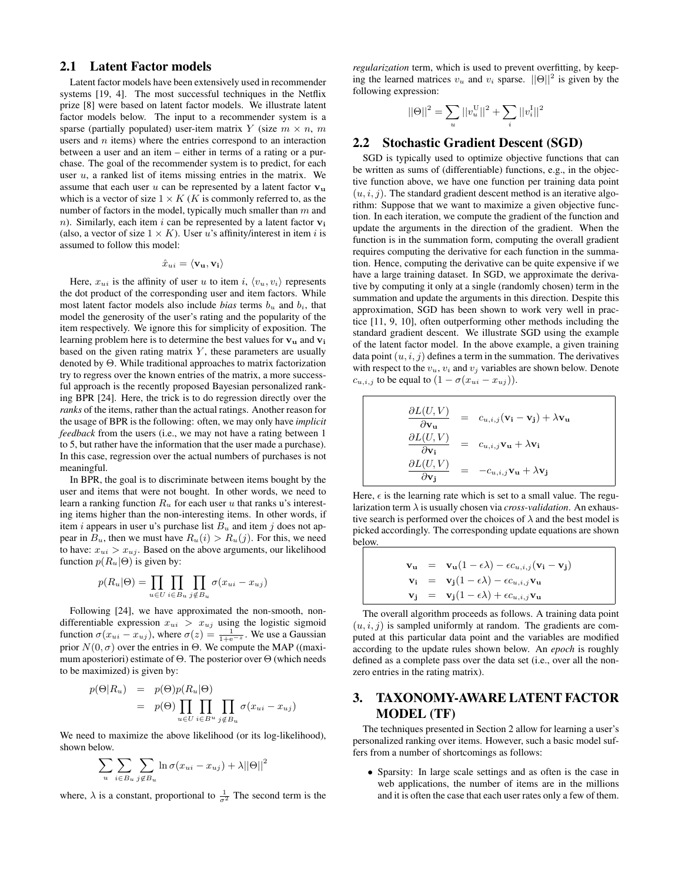### 2.1 Latent Factor models

Latent factor models have been extensively used in recommender systems [19, 4]. The most successful techniques in the Netflix prize [8] were based on latent factor models. We illustrate latent factor models below. The input to a recommender system is a sparse (partially populated) user-item matrix Y (size  $m \times n$ , m users and  $n$  items) where the entries correspond to an interaction between a user and an item – either in terms of a rating or a purchase. The goal of the recommender system is to predict, for each user  $u$ , a ranked list of items missing entries in the matrix. We assume that each user u can be represented by a latent factor  $v_u$ which is a vector of size  $1 \times K$  (K is commonly referred to, as the number of factors in the model, typically much smaller than  $m$  and n). Similarly, each item i can be represented by a latent factor  $v_i$ (also, a vector of size  $1 \times K$ ). User u's affinity/interest in item i is assumed to follow this model:

$$
\hat{x}_{ui} = \langle \mathbf{v}_\mathbf{u}, \mathbf{v}_\mathbf{i} \rangle
$$

Here,  $x_{ui}$  is the affinity of user u to item i,  $\langle v_u, v_i \rangle$  represents the dot product of the corresponding user and item factors. While most latent factor models also include *bias* terms  $b<sub>u</sub>$  and  $b<sub>i</sub>$ , that model the generosity of the user's rating and the popularity of the item respectively. We ignore this for simplicity of exposition. The learning problem here is to determine the best values for  $v_u$  and  $v_i$ based on the given rating matrix  $Y$ , these parameters are usually denoted by Θ. While traditional approaches to matrix factorization try to regress over the known entries of the matrix, a more successful approach is the recently proposed Bayesian personalized ranking BPR [24]. Here, the trick is to do regression directly over the *ranks* of the items, rather than the actual ratings. Another reason for the usage of BPR is the following: often, we may only have *implicit feedback* from the users (i.e., we may not have a rating between 1 to 5, but rather have the information that the user made a purchase). In this case, regression over the actual numbers of purchases is not meaningful.

In BPR, the goal is to discriminate between items bought by the user and items that were not bought. In other words, we need to learn a ranking function  $R_u$  for each user u that ranks u's interesting items higher than the non-interesting items. In other words, if item i appears in user u's purchase list  $B_u$  and item j does not appear in  $B_u$ , then we must have  $R_u(i) > R_u(j)$ . For this, we need to have:  $x_{ui} > x_{ui}$ . Based on the above arguments, our likelihood function  $p(R_u | \Theta)$  is given by:

$$
p(R_u | \Theta) = \prod_{u \in U} \prod_{i \in B_u} \prod_{j \notin B_u} \sigma(x_{ui} - x_{uj})
$$

Following [24], we have approximated the non-smooth, nondifferentiable expression  $x_{ui} > x_{uj}$  using the logistic sigmoid function  $\sigma(x_{ui} - x_{uj})$ , where  $\sigma(z) = \frac{1}{1 + e^{-z}}$ . We use a Gaussian prior  $N(0, \sigma)$  over the entries in  $\Theta$ . We compute the MAP ((maximum aposteriori) estimate of  $\Theta$ . The posterior over  $\Theta$  (which needs to be maximized) is given by:

$$
p(\Theta|R_u) = p(\Theta)p(R_u|\Theta)
$$
  
=  $p(\Theta) \prod_{u \in U} \prod_{i \in B^u} \prod_{j \notin B_u} \sigma(x_{ui} - x_{uj})$ 

We need to maximize the above likelihood (or its log-likelihood), shown below.

$$
\sum_{u} \sum_{i \in B_u} \sum_{j \notin B_u} \ln \sigma(x_{ui} - x_{uj}) + \lambda ||\Theta||^2
$$

where,  $\lambda$  is a constant, proportional to  $\frac{1}{\sigma^2}$  The second term is the

*regularization* term, which is used to prevent overfitting, by keeping the learned matrices  $v_u$  and  $v_i$  sparse.  $||\Theta||^2$  is given by the following expression:

$$
||\Theta||^2 = \sum_u ||v_u^{\rm U}||^2 + \sum_i ||v_i^{\rm I}||^2
$$

#### 2.2 Stochastic Gradient Descent (SGD)

SGD is typically used to optimize objective functions that can be written as sums of (differentiable) functions, e.g., in the objective function above, we have one function per training data point  $(u, i, j)$ . The standard gradient descent method is an iterative algorithm: Suppose that we want to maximize a given objective function. In each iteration, we compute the gradient of the function and update the arguments in the direction of the gradient. When the function is in the summation form, computing the overall gradient requires computing the derivative for each function in the summation. Hence, computing the derivative can be quite expensive if we have a large training dataset. In SGD, we approximate the derivative by computing it only at a single (randomly chosen) term in the summation and update the arguments in this direction. Despite this approximation, SGD has been shown to work very well in practice [11, 9, 10], often outperforming other methods including the standard gradient descent. We illustrate SGD using the example of the latent factor model. In the above example, a given training data point  $(u, i, j)$  defines a term in the summation. The derivatives with respect to the  $v_u$ ,  $v_i$  and  $v_j$  variables are shown below. Denote  $c_{u,i,j}$  to be equal to  $(1 - \sigma(x_{ui} - x_{uj}))$ .

$$
\frac{\partial L(U, V)}{\partial \mathbf{v}_{\mathbf{u}}} = c_{u,i,j}(\mathbf{v}_{\mathbf{i}} - \mathbf{v}_{\mathbf{j}}) + \lambda \mathbf{v}_{\mathbf{u}}
$$
\n
$$
\frac{\partial L(U, V)}{\partial \mathbf{v}_{\mathbf{i}}} = c_{u,i,j} \mathbf{v}_{\mathbf{u}} + \lambda \mathbf{v}_{\mathbf{i}}
$$
\n
$$
\frac{\partial L(U, V)}{\partial \mathbf{v}_{\mathbf{j}}} = -c_{u,i,j} \mathbf{v}_{\mathbf{u}} + \lambda \mathbf{v}_{\mathbf{j}}
$$

Here,  $\epsilon$  is the learning rate which is set to a small value. The regularization term λ is usually chosen via *cross-validation*. An exhaustive search is performed over the choices of  $\lambda$  and the best model is picked accordingly. The corresponding update equations are shown below.

$$
\mathbf{v}_{\mathbf{u}} = \mathbf{v}_{\mathbf{u}}(1 - \epsilon \lambda) - \epsilon c_{u,i,j}(\mathbf{v}_{\mathbf{i}} - \mathbf{v}_{\mathbf{j}})
$$
  
\n
$$
\mathbf{v}_{\mathbf{i}} = \mathbf{v}_{\mathbf{j}}(1 - \epsilon \lambda) - \epsilon c_{u,i,j} \mathbf{v}_{\mathbf{u}}
$$
  
\n
$$
\mathbf{v}_{\mathbf{j}} = \mathbf{v}_{\mathbf{j}}(1 - \epsilon \lambda) + \epsilon c_{u,i,j} \mathbf{v}_{\mathbf{u}}
$$

The overall algorithm proceeds as follows. A training data point  $(u, i, j)$  is sampled uniformly at random. The gradients are computed at this particular data point and the variables are modified according to the update rules shown below. An *epoch* is roughly defined as a complete pass over the data set (i.e., over all the nonzero entries in the rating matrix).

# 3. TAXONOMY-AWARE LATENT FACTOR MODEL (TF)

The techniques presented in Section 2 allow for learning a user's personalized ranking over items. However, such a basic model suffers from a number of shortcomings as follows:

• Sparsity: In large scale settings and as often is the case in web applications, the number of items are in the millions and it is often the case that each user rates only a few of them.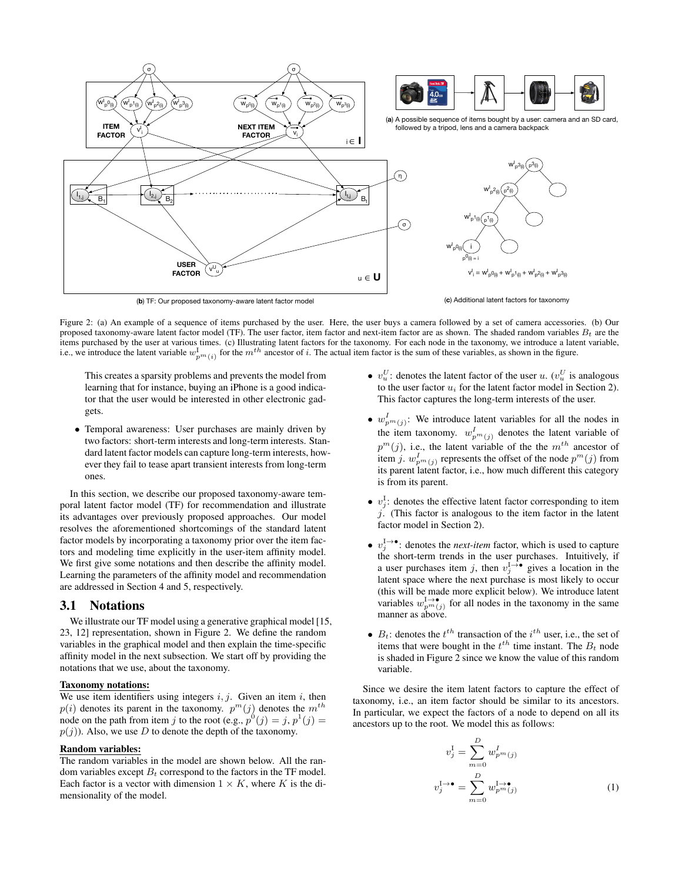

(**b**) TF: Our proposed taxonomy-aware latent factor model

(**c**) Additional latent factors for taxonomy

Figure 2: (a) An example of a sequence of items purchased by the user. Here, the user buys a camera followed by a set of camera accessories. (b) Our proposed taxonomy-aware latent factor model (TF). The user factor, item factor and next-item factor are as shown. The shaded random variables  $B_t$  are the items purchased by the user at various times. (c) Illustrating latent factors for the taxonomy. For each node in the taxonomy, we introduce a latent variable, i.e., we introduce the latent variable  $w_{p^m(i)}^{\text{I}}$  for the  $m^{th}$  ancestor of i. The actual item factor is the sum of these variables, as shown in the figure.

This creates a sparsity problems and prevents the model from learning that for instance, buying an iPhone is a good indicator that the user would be interested in other electronic gadgets.

• Temporal awareness: User purchases are mainly driven by two factors: short-term interests and long-term interests. Standard latent factor models can capture long-term interests, however they fail to tease apart transient interests from long-term ones.

In this section, we describe our proposed taxonomy-aware temporal latent factor model (TF) for recommendation and illustrate its advantages over previously proposed approaches. Our model resolves the aforementioned shortcomings of the standard latent factor models by incorporating a taxonomy prior over the item factors and modeling time explicitly in the user-item affinity model. We first give some notations and then describe the affinity model. Learning the parameters of the affinity model and recommendation are addressed in Section 4 and 5, respectively.

### 3.1 Notations

We illustrate our TF model using a generative graphical model [15, 23, 12] representation, shown in Figure 2. We define the random variables in the graphical model and then explain the time-specific affinity model in the next subsection. We start off by providing the notations that we use, about the taxonomy.

#### Taxonomy notations:

We use item identifiers using integers  $i, j$ . Given an item  $i$ , then  $p(i)$  denotes its parent in the taxonomy.  $p^{m}(j)$  denotes the  $m^{th}$ node on the path from item j to the root (e.g.,  $p^0(j) = j$ ,  $p^1(j) = j$  $p(j)$ ). Also, we use D to denote the depth of the taxonomy.

#### Random variables:

The random variables in the model are shown below. All the random variables except  $B_t$  correspond to the factors in the TF model. Each factor is a vector with dimension  $1 \times K$ , where K is the dimensionality of the model.

- $v_u^U$ : denotes the latent factor of the user u.  $(v_u^U)$  is analogous to the user factor  $u_i$  for the latent factor model in Section 2). This factor captures the long-term interests of the user.
- $w_{p^m(j)}^I$ : We introduce latent variables for all the nodes in the item taxonomy.  $w_{p^m(j)}^I$  denotes the latent variable of  $p^{m}(j)$ , i.e., the latent variable of the the  $m^{th}$  ancestor of item j.  $w_{p^m(j)}^I$  represents the offset of the node  $p^m(j)$  from its parent latent factor, i.e., how much different this category is from its parent.
- $v_j^{\mathrm{I}}$ : denotes the effective latent factor corresponding to item  $j$ . (This factor is analogous to the item factor in the latent factor model in Section 2).
- $v_j^{\mathrm{I}\rightarrow\bullet}$ : denotes the *next-item* factor, which is used to capture the short-term trends in the user purchases. Intuitively, if a user purchases item j, then  $v_j^{I\rightarrow\bullet}$  gives a location in the latent space where the next purchase is most likely to occur (this will be made more explicit below). We introduce latent variables  $w_{p^m(j)}^{1\rightarrow \bullet}$  for all nodes in the taxonomy in the same manner as above.
- $B_t$ : denotes the  $t^{th}$  transaction of the  $i^{th}$  user, i.e., the set of items that were bought in the  $t^{th}$  time instant. The  $B_t$  node is shaded in Figure 2 since we know the value of this random variable.

Since we desire the item latent factors to capture the effect of taxonomy, i.e., an item factor should be similar to its ancestors. In particular, we expect the factors of a node to depend on all its ancestors up to the root. We model this as follows:

$$
v_j^{\text{I}} = \sum_{m=0}^{D} w_{p^m(j)}^{\text{I}} \n v_j^{\text{I}\to\bullet} = \sum_{m=0}^{D} w_{p^m(j)}^{\text{I}\to\bullet}
$$
\n(1)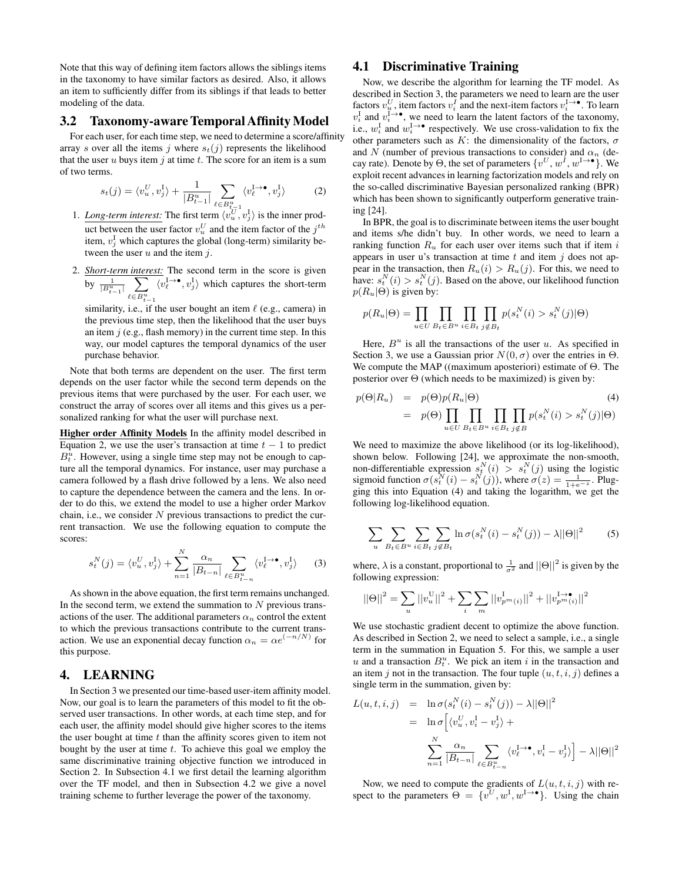Note that this way of defining item factors allows the siblings items in the taxonomy to have similar factors as desired. Also, it allows an item to sufficiently differ from its siblings if that leads to better modeling of the data.

#### 3.2 Taxonomy-aware Temporal Affinity Model

For each user, for each time step, we need to determine a score/affinity array s over all the items j where  $s_t(j)$  represents the likelihood that the user  $u$  buys item  $j$  at time  $t$ . The score for an item is a sum of two terms.

$$
s_t(j) = \langle v_u^U, v_j^I \rangle + \frac{1}{|B_{t-1}^u|} \sum_{\ell \in B_{t-1}^u} \langle v_\ell^{I \to \bullet}, v_j^I \rangle \tag{2}
$$

- 1. *Long-term interest:* The first term  $\langle v_u^U, v_j^I \rangle$  is the inner product between the user factor  $v_u^U$  and the item factor of the  $j^{th}$ item,  $v_j^I$  which captures the global (long-term) similarity between the user  $u$  and the item  $j$ .
- 2. *Short-term interest:* The second term in the score is given by  $\frac{1}{|B_{t-1}^u|}$   $\sum$  $\ell \in B_{t-1}^u$  $\langle v_{\ell}^{\mathrm{I}\rightarrow\bullet}, v_{j}^{\mathrm{I}} \rangle$  which captures the short-term

similarity, i.e., if the user bought an item  $\ell$  (e.g., camera) in the previous time step, then the likelihood that the user buys an item  $j$  (e.g., flash memory) in the current time step. In this way, our model captures the temporal dynamics of the user purchase behavior.

Note that both terms are dependent on the user. The first term depends on the user factor while the second term depends on the previous items that were purchased by the user. For each user, we construct the array of scores over all items and this gives us a personalized ranking for what the user will purchase next.

Higher order Affinity Models In the affinity model described in Equation 2, we use the user's transaction at time  $t - 1$  to predict  $B_t^{\overline{u}}$ . However, using a single time step may not be enough to capture all the temporal dynamics. For instance, user may purchase a camera followed by a flash drive followed by a lens. We also need to capture the dependence between the camera and the lens. In order to do this, we extend the model to use a higher order Markov chain, i.e., we consider  $N$  previous transactions to predict the current transaction. We use the following equation to compute the scores:

$$
s_t^N(j) = \langle v_u^U, v_j^I \rangle + \sum_{n=1}^N \frac{\alpha_n}{|B_{t-n}|} \sum_{\ell \in B_{t-n}^u} \langle v_\ell^{I \to \bullet}, v_j^I \rangle \tag{3}
$$

As shown in the above equation, the first term remains unchanged. In the second term, we extend the summation to  $N$  previous transactions of the user. The additional parameters  $\alpha_n$  control the extent to which the previous transactions contribute to the current transaction. We use an exponential decay function  $\alpha_n = \alpha e^{(-n/N)}$  for this purpose.

# 4. LEARNING

In Section 3 we presented our time-based user-item affinity model. Now, our goal is to learn the parameters of this model to fit the observed user transactions. In other words, at each time step, and for each user, the affinity model should give higher scores to the items the user bought at time  $t$  than the affinity scores given to item not bought by the user at time  $t$ . To achieve this goal we employ the same discriminative training objective function we introduced in Section 2. In Subsection 4.1 we first detail the learning algorithm over the TF model, and then in Subsection 4.2 we give a novel training scheme to further leverage the power of the taxonomy.

# 4.1 Discriminative Training

Now, we describe the algorithm for learning the TF model. As described in Section 3, the parameters we need to learn are the user factors  $v_u^U$ , item factors  $v_i^I$  and the next-item factors  $v_i^{I\rightarrow\bullet}$ . To learn  $v_i^{\text{I}}$  and  $v_i^{\text{I}\rightarrow\bullet}$ , we need to learn the latent factors of the taxonomy, i.e.,  $w_i^{\text{I}}$  and  $w_i^{\text{I}\rightarrow\bullet}$  respectively. We use cross-validation to fix the other parameters such as K: the dimensionality of the factors,  $\sigma$ and N (number of previous transactions to consider) and  $\alpha_n$  (decay rate). Denote by  $\Theta$ , the set of parameters  $\{v^U, w^I, w^{I \to \bullet}\}\.$  We exploit recent advances in learning factorization models and rely on the so-called discriminative Bayesian personalized ranking (BPR) which has been shown to significantly outperform generative training [24].

In BPR, the goal is to discriminate between items the user bought and items s/he didn't buy. In other words, we need to learn a ranking function  $R_u$  for each user over items such that if item i appears in user u's transaction at time  $t$  and item  $j$  does not appear in the transaction, then  $R_u(i) > R_u(j)$ . For this, we need to have:  $s_t^N(i) > s_t^N(j)$ . Based on the above, our likelihood function  $p(R_u|\Theta)$  is given by:

$$
p(R_u | \Theta) = \prod_{u \in U} \prod_{B_t \in B^u} \prod_{i \in B_t} \prod_{j \notin B_t} p(s_t^N(i) > s_t^N(j) | \Theta)
$$

Here,  $B<sup>u</sup>$  is all the transactions of the user u. As specified in Section 3, we use a Gaussian prior  $N(0, \sigma)$  over the entries in  $\Theta$ . We compute the MAP ((maximum aposteriori) estimate of Θ. The posterior over  $\Theta$  (which needs to be maximized) is given by:

$$
p(\Theta|R_u) = p(\Theta)p(R_u|\Theta)
$$
  
=  $p(\Theta) \prod_{u \in U} \prod_{B_t \in B^u} \prod_{i \in B_t} \prod_{j \notin B} p(s_i^N(i) > s_i^N(j)|\Theta)$  (4)

We need to maximize the above likelihood (or its log-likelihood), shown below. Following [24], we approximate the non-smooth, non-differentiable expression  $s_t^N(i) > s_t^N(j)$  using the logistic sigmoid function  $\sigma(s_t^N(i) - s_t^N(j))$ , where  $\sigma(z) = \frac{1}{1 + e^{-z}}$ . Plugging this into Equation (4) and taking the logarithm, we get the following log-likelihood equation.

$$
\sum_{u} \sum_{B_t \in B^u} \sum_{i \in B_t} \sum_{j \notin B_t} \ln \sigma(s_t^N(i) - s_t^N(j)) - \lambda ||\Theta||^2 \tag{5}
$$

where,  $\lambda$  is a constant, proportional to  $\frac{1}{\sigma^2}$  and  $||\Theta||^2$  is given by the following expression:

$$
||\Theta||^2 = \sum_{u} ||v_u^{\text{U}}||^2 + \sum_{i} \sum_{m} ||v_{p^m(i)}^{\text{I}}||^2 + ||v_{p^m(i)}^{\text{I}}||^2
$$

We use stochastic gradient decent to optimize the above function. As described in Section 2, we need to select a sample, i.e., a single term in the summation in Equation 5. For this, we sample a user u and a transaction  $B_t^u$ . We pick an item i in the transaction and an item j not in the transaction. The four tuple  $(u, t, i, j)$  defines a single term in the summation, given by:

$$
L(u, t, i, j) = \ln \sigma(s_t^N(i) - s_t^N(j)) - \lambda ||\Theta||^2
$$
  
=  $\ln \sigma \left[ \langle v_u^U, v_i^I - v_j^I \rangle + \sum_{n=1}^N \frac{\alpha_n}{|B_{t-n}|} \sum_{\ell \in B_{t-n}^u} \langle v_\ell^{I \to \bullet}, v_i^I - v_j^I \rangle \right] - \lambda ||\Theta||^2$ 

Now, we need to compute the gradients of  $L(u, t, i, j)$  with respect to the parameters  $\Theta = \{v^U, w^I, w^{I \to \bullet}\}\$ . Using the chain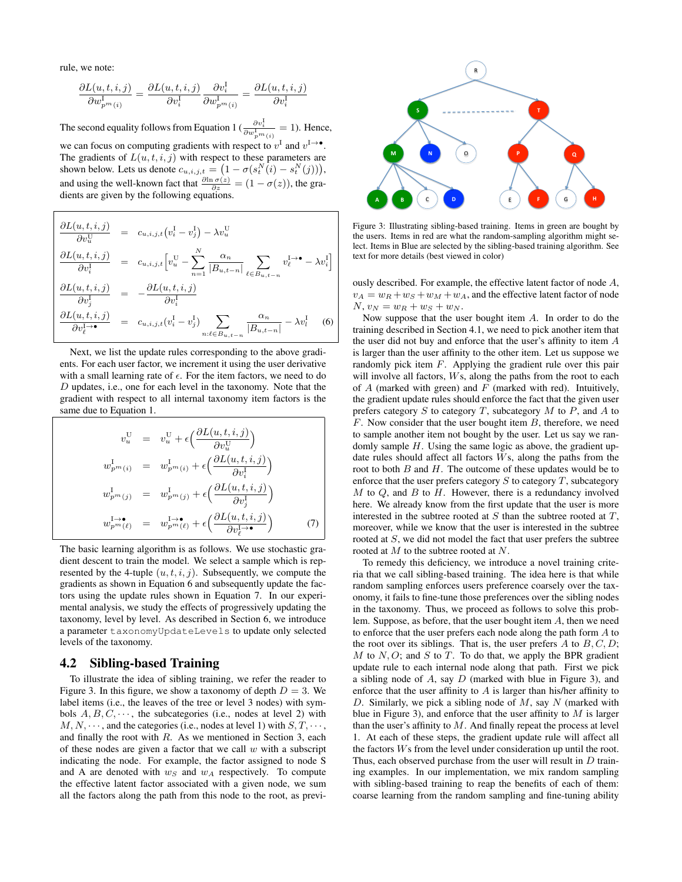rule, we note:

$$
\frac{\partial L(u,t,i,j)}{\partial w_{p^m(i)}^{\text{I}}} = \frac{\partial L(u,t,i,j)}{\partial v_i^{\text{I}}} \frac{\partial v_i^{\text{I}}}{\partial w_{p^m(i)}^{\text{I}}} = \frac{\partial L(u,t,i,j)}{\partial v_i^{\text{I}}}
$$

The second equality follows from Equation 1 ( $\frac{\partial v_i^1}{\partial w_{p^m(i)}} = 1$ ). Hence, we can focus on computing gradients with respect to  $v^{\text{I}}$  and  $v^{\text{I}\rightarrow\bullet}$ . The gradients of  $L(u, t, i, j)$  with respect to these parameters are

shown below. Lets us denote  $c_{u,i,j,t} = \left(1 - \sigma(s_t^N(i) - s_t^N(j))\right),$ and using the well-known fact that  $\frac{\partial \ln \sigma(z)}{\partial z} = (1 - \sigma(z))$ , the gradients are given by the following equations.

$$
\frac{\partial L(u,t,i,j)}{\partial v_u^U} = c_{u,i,j,t} \left( v_i^I - v_j^I \right) - \lambda v_u^U
$$
\n
$$
\frac{\partial L(u,t,i,j)}{\partial v_i^I} = c_{u,i,j,t} \left[ v_u^U - \sum_{n=1}^N \frac{\alpha_n}{|B_{u,t-n}|} \sum_{\ell \in B_{u,t-n}} v_\ell^{I \to \bullet} - \lambda v_i^I \right]
$$
\n
$$
\frac{\partial L(u,t,i,j)}{\partial v_j^I} = -\frac{\partial L(u,t,i,j)}{\partial v_i^I}
$$
\n
$$
\frac{\partial L(u,t,i,j)}{\partial v_\ell^{I \to \bullet}} = c_{u,i,j,t} \left( v_i^I - v_j^I \right) \sum_{n:\ell \in B_{u,t-n}} \frac{\alpha_n}{|B_{u,t-n}|} - \lambda v_i^I \quad (6)
$$

Next, we list the update rules corresponding to the above gradients. For each user factor, we increment it using the user derivative with a small learning rate of  $\epsilon$ . For the item factors, we need to do D updates, i.e., one for each level in the taxonomy. Note that the gradient with respect to all internal taxonomy item factors is the same due to Equation 1.

$$
v_u^{\mathrm{U}} = v_u^{\mathrm{U}} + \epsilon \left( \frac{\partial L(u, t, i, j)}{\partial v_u^{\mathrm{U}}} \right)
$$
  

$$
w_{p^m(i)}^{\mathrm{I}} = w_{p^m(i)}^{\mathrm{I}} + \epsilon \left( \frac{\partial L(u, t, i, j)}{\partial v_i^{\mathrm{I}}} \right)
$$
  

$$
w_{p^m(j)}^{\mathrm{I}} = w_{p^m(j)}^{\mathrm{I}} + \epsilon \left( \frac{\partial L(u, t, i, j)}{\partial v_j^{\mathrm{I}}} \right)
$$
  

$$
w_{p^m(\ell)}^{\mathrm{I} \to \bullet} = w_{p^m(\ell)}^{\mathrm{I} \to \bullet} + \epsilon \left( \frac{\partial L(u, t, i, j)}{\partial v_{\ell}^{\mathrm{I} \to \bullet}} \right) \tag{7}
$$

The basic learning algorithm is as follows. We use stochastic gradient descent to train the model. We select a sample which is represented by the 4-tuple  $(u, t, i, j)$ . Subsequently, we compute the gradients as shown in Equation 6 and subsequently update the factors using the update rules shown in Equation 7. In our experimental analysis, we study the effects of progressively updating the taxonomy, level by level. As described in Section 6, we introduce a parameter taxonomyUpdateLevels to update only selected levels of the taxonomy.

# 4.2 Sibling-based Training

To illustrate the idea of sibling training, we refer the reader to Figure 3. In this figure, we show a taxonomy of depth  $D = 3$ . We label items (i.e., the leaves of the tree or level 3 nodes) with symbols  $A, B, C, \dots$ , the subcategories (i.e., nodes at level 2) with  $M, N, \dots$ , and the categories (i.e., nodes at level 1) with  $S, T, \dots$ , and finally the root with  $R$ . As we mentioned in Section 3, each of these nodes are given a factor that we call  $w$  with a subscript indicating the node. For example, the factor assigned to node S and A are denoted with  $w_S$  and  $w_A$  respectively. To compute the effective latent factor associated with a given node, we sum all the factors along the path from this node to the root, as previ-



Figure 3: Illustrating sibling-based training. Items in green are bought by the users. Items in red are what the random-sampling algorithm might select. Items in Blue are selected by the sibling-based training algorithm. See text for more details (best viewed in color)

ously described. For example, the effective latent factor of node A,  $v_A = w_B + w_S + w_M + w_A$ , and the effective latent factor of node  $N, v_N = w_R + w_S + w_N$ .

Now suppose that the user bought item A. In order to do the training described in Section 4.1, we need to pick another item that the user did not buy and enforce that the user's affinity to item A is larger than the user affinity to the other item. Let us suppose we randomly pick item F. Applying the gradient rule over this pair will involve all factors, W<sub>s</sub>, along the paths from the root to each of A (marked with green) and  $F$  (marked with red). Intuitively, the gradient update rules should enforce the fact that the given user prefers category  $S$  to category  $T$ , subcategory  $M$  to  $P$ , and  $A$  to  $F$ . Now consider that the user bought item  $B$ , therefore, we need to sample another item not bought by the user. Let us say we randomly sample  $H$ . Using the same logic as above, the gradient update rules should affect all factors Ws, along the paths from the root to both  $B$  and  $H$ . The outcome of these updates would be to enforce that the user prefers category  $S$  to category  $T$ , subcategory  $M$  to  $Q$ , and  $B$  to  $H$ . However, there is a redundancy involved here. We already know from the first update that the user is more interested in the subtree rooted at  $S$  than the subtree rooted at  $T$ , moreover, while we know that the user is interested in the subtree rooted at S, we did not model the fact that user prefers the subtree rooted at M to the subtree rooted at N.

To remedy this deficiency, we introduce a novel training criteria that we call sibling-based training. The idea here is that while random sampling enforces users preference coarsely over the taxonomy, it fails to fine-tune those preferences over the sibling nodes in the taxonomy. Thus, we proceed as follows to solve this problem. Suppose, as before, that the user bought item A, then we need to enforce that the user prefers each node along the path form A to the root over its siblings. That is, the user prefers  $A$  to  $B, C, D$ ;  $M$  to  $N, O$ ; and  $S$  to  $T$ . To do that, we apply the BPR gradient update rule to each internal node along that path. First we pick a sibling node of  $A$ , say  $D$  (marked with blue in Figure 3), and enforce that the user affinity to  $A$  is larger than his/her affinity to D. Similarly, we pick a sibling node of  $M$ , say  $N$  (marked with blue in Figure 3), and enforce that the user affinity to  $M$  is larger than the user's affinity to  $M$ . And finally repeat the process at level 1. At each of these steps, the gradient update rule will affect all the factors Ws from the level under consideration up until the root. Thus, each observed purchase from the user will result in  $D$  training examples. In our implementation, we mix random sampling with sibling-based training to reap the benefits of each of them: coarse learning from the random sampling and fine-tuning ability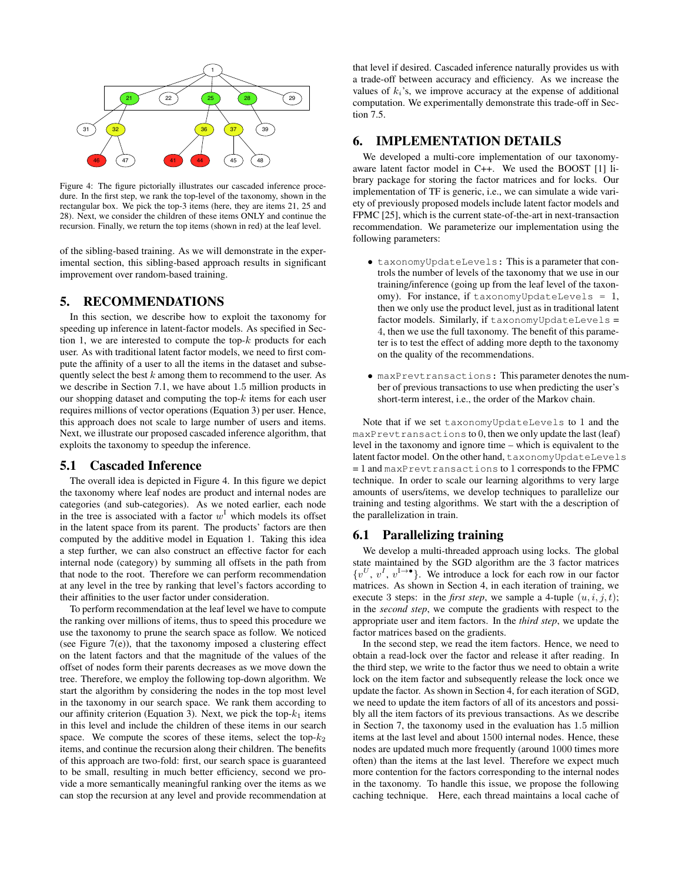

Figure 4: The figure pictorially illustrates our cascaded inference procedure. In the first step, we rank the top-level of the taxonomy, shown in the rectangular box. We pick the top-3 items (here, they are items 21, 25 and 28). Next, we consider the children of these items ONLY and continue the recursion. Finally, we return the top items (shown in red) at the leaf level.

of the sibling-based training. As we will demonstrate in the experimental section, this sibling-based approach results in significant improvement over random-based training.

### 5. RECOMMENDATIONS

In this section, we describe how to exploit the taxonomy for speeding up inference in latent-factor models. As specified in Section 1, we are interested to compute the top- $k$  products for each user. As with traditional latent factor models, we need to first compute the affinity of a user to all the items in the dataset and subsequently select the best  $k$  among them to recommend to the user. As we describe in Section 7.1, we have about 1.5 million products in our shopping dataset and computing the top- $k$  items for each user requires millions of vector operations (Equation 3) per user. Hence, this approach does not scale to large number of users and items. Next, we illustrate our proposed cascaded inference algorithm, that exploits the taxonomy to speedup the inference.

# 5.1 Cascaded Inference

The overall idea is depicted in Figure 4. In this figure we depict the taxonomy where leaf nodes are product and internal nodes are categories (and sub-categories). As we noted earlier, each node in the tree is associated with a factor  $w^I$  which models its offset in the latent space from its parent. The products' factors are then computed by the additive model in Equation 1. Taking this idea a step further, we can also construct an effective factor for each internal node (category) by summing all offsets in the path from that node to the root. Therefore we can perform recommendation at any level in the tree by ranking that level's factors according to their affinities to the user factor under consideration.

To perform recommendation at the leaf level we have to compute the ranking over millions of items, thus to speed this procedure we use the taxonomy to prune the search space as follow. We noticed (see Figure 7(e)), that the taxonomy imposed a clustering effect on the latent factors and that the magnitude of the values of the offset of nodes form their parents decreases as we move down the tree. Therefore, we employ the following top-down algorithm. We start the algorithm by considering the nodes in the top most level in the taxonomy in our search space. We rank them according to our affinity criterion (Equation 3). Next, we pick the top- $k_1$  items in this level and include the children of these items in our search space. We compute the scores of these items, select the top- $k_2$ items, and continue the recursion along their children. The benefits of this approach are two-fold: first, our search space is guaranteed to be small, resulting in much better efficiency, second we provide a more semantically meaningful ranking over the items as we can stop the recursion at any level and provide recommendation at that level if desired. Cascaded inference naturally provides us with a trade-off between accuracy and efficiency. As we increase the values of  $k_i$ 's, we improve accuracy at the expense of additional computation. We experimentally demonstrate this trade-off in Section 7.5.

# 6. IMPLEMENTATION DETAILS

We developed a multi-core implementation of our taxonomyaware latent factor model in C++. We used the BOOST [1] library package for storing the factor matrices and for locks. Our implementation of TF is generic, i.e., we can simulate a wide variety of previously proposed models include latent factor models and FPMC [25], which is the current state-of-the-art in next-transaction recommendation. We parameterize our implementation using the following parameters:

- taxonomyUpdateLevels: This is a parameter that controls the number of levels of the taxonomy that we use in our training/inference (going up from the leaf level of the taxonomy). For instance, if taxonomyUpdateLevels =  $1$ , then we only use the product level, just as in traditional latent factor models. Similarly, if taxonomyUpdateLevels = 4, then we use the full taxonomy. The benefit of this parameter is to test the effect of adding more depth to the taxonomy on the quality of the recommendations.
- maxPrevtransactions: This parameter denotes the number of previous transactions to use when predicting the user's short-term interest, i.e., the order of the Markov chain.

Note that if we set taxonomyUpdateLevels to 1 and the maxPrevtransactions to 0, then we only update the last (leaf) level in the taxonomy and ignore time – which is equivalent to the latent factor model. On the other hand, taxonomyUpdateLevels = 1 and maxPrevtransactions to 1 corresponds to the FPMC technique. In order to scale our learning algorithms to very large amounts of users/items, we develop techniques to parallelize our training and testing algorithms. We start with the a description of the parallelization in train.

### 6.1 Parallelizing training

We develop a multi-threaded approach using locks. The global state maintained by the SGD algorithm are the 3 factor matrices  $\{v^U, v^I, v^{I\rightarrow\bullet}\}.$  We introduce a lock for each row in our factor matrices. As shown in Section 4, in each iteration of training, we execute 3 steps: in the *first step*, we sample a 4-tuple  $(u, i, j, t)$ ; in the *second step*, we compute the gradients with respect to the appropriate user and item factors. In the *third step*, we update the factor matrices based on the gradients.

In the second step, we read the item factors. Hence, we need to obtain a read-lock over the factor and release it after reading. In the third step, we write to the factor thus we need to obtain a write lock on the item factor and subsequently release the lock once we update the factor. As shown in Section 4, for each iteration of SGD, we need to update the item factors of all of its ancestors and possibly all the item factors of its previous transactions. As we describe in Section 7, the taxonomy used in the evaluation has 1.5 million items at the last level and about 1500 internal nodes. Hence, these nodes are updated much more frequently (around 1000 times more often) than the items at the last level. Therefore we expect much more contention for the factors corresponding to the internal nodes in the taxonomy. To handle this issue, we propose the following caching technique. Here, each thread maintains a local cache of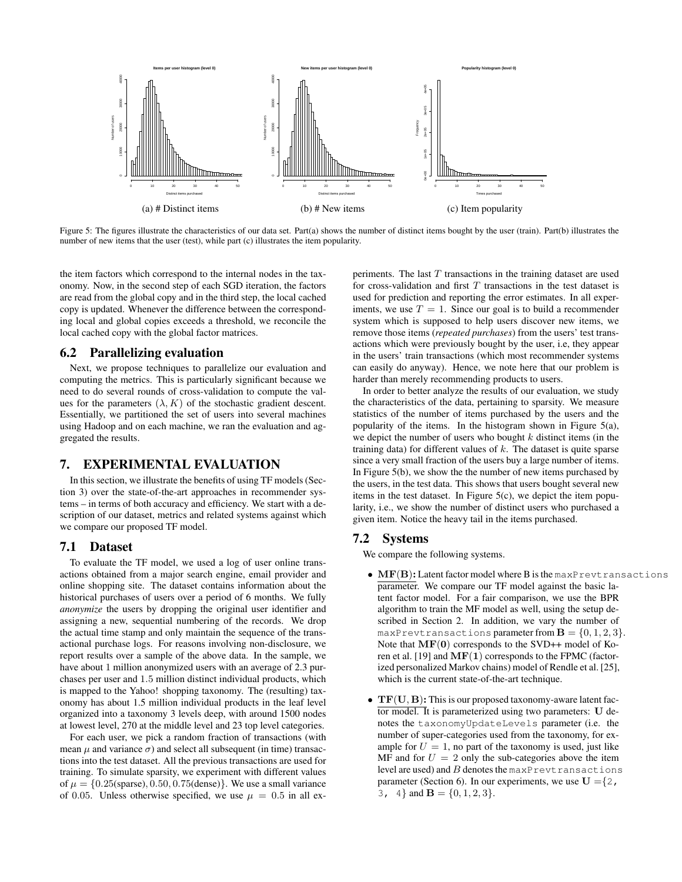

Figure 5: The figures illustrate the characteristics of our data set. Part(a) shows the number of distinct items bought by the user (train). Part(b) illustrates the number of new items that the user (test), while part (c) illustrates the item popularity.

the item factors which correspond to the internal nodes in the taxonomy. Now, in the second step of each SGD iteration, the factors are read from the global copy and in the third step, the local cached copy is updated. Whenever the difference between the corresponding local and global copies exceeds a threshold, we reconcile the local cached copy with the global factor matrices.

### 6.2 Parallelizing evaluation

Next, we propose techniques to parallelize our evaluation and computing the metrics. This is particularly significant because we need to do several rounds of cross-validation to compute the values for the parameters  $(\lambda, K)$  of the stochastic gradient descent. Essentially, we partitioned the set of users into several machines using Hadoop and on each machine, we ran the evaluation and aggregated the results.

### 7. EXPERIMENTAL EVALUATION

In this section, we illustrate the benefits of using TF models (Section 3) over the state-of-the-art approaches in recommender systems – in terms of both accuracy and efficiency. We start with a description of our dataset, metrics and related systems against which we compare our proposed TF model.

### 7.1 Dataset

To evaluate the TF model, we used a log of user online transactions obtained from a major search engine, email provider and online shopping site. The dataset contains information about the historical purchases of users over a period of 6 months. We fully *anonymize* the users by dropping the original user identifier and assigning a new, sequential numbering of the records. We drop the actual time stamp and only maintain the sequence of the transactional purchase logs. For reasons involving non-disclosure, we report results over a sample of the above data. In the sample, we have about 1 million anonymized users with an average of 2.3 purchases per user and 1.5 million distinct individual products, which is mapped to the Yahoo! shopping taxonomy. The (resulting) taxonomy has about 1.5 million individual products in the leaf level organized into a taxonomy 3 levels deep, with around 1500 nodes at lowest level, 270 at the middle level and 23 top level categories.

For each user, we pick a random fraction of transactions (with mean  $\mu$  and variance  $\sigma$ ) and select all subsequent (in time) transactions into the test dataset. All the previous transactions are used for training. To simulate sparsity, we experiment with different values of  $\mu = \{0.25$ (sparse), 0.50, 0.75(dense)}. We use a small variance of 0.05. Unless otherwise specified, we use  $\mu = 0.5$  in all experiments. The last  $T$  transactions in the training dataset are used for cross-validation and first  $T$  transactions in the test dataset is used for prediction and reporting the error estimates. In all experiments, we use  $T = 1$ . Since our goal is to build a recommender system which is supposed to help users discover new items, we remove those items (*repeated purchases*) from the users' test transactions which were previously bought by the user, i.e, they appear in the users' train transactions (which most recommender systems can easily do anyway). Hence, we note here that our problem is harder than merely recommending products to users.

In order to better analyze the results of our evaluation, we study the characteristics of the data, pertaining to sparsity. We measure statistics of the number of items purchased by the users and the popularity of the items. In the histogram shown in Figure 5(a), we depict the number of users who bought  $k$  distinct items (in the training data) for different values of  $k$ . The dataset is quite sparse since a very small fraction of the users buy a large number of items. In Figure 5(b), we show the the number of new items purchased by the users, in the test data. This shows that users bought several new items in the test dataset. In Figure 5(c), we depict the item popularity, i.e., we show the number of distinct users who purchased a given item. Notice the heavy tail in the items purchased.

### 7.2 Systems

We compare the following systems.

- $MF(B)$ : Latent factor model where B is the maxPrevtransactions parameter. We compare our TF model against the basic latent factor model. For a fair comparison, we use the BPR algorithm to train the MF model as well, using the setup described in Section 2. In addition, we vary the number of maxPrevtransactions parameter from  $\mathbf{B} = \{0, 1, 2, 3\}.$ Note that  $MF(0)$  corresponds to the SVD++ model of Koren et al. [19] and  $MF(1)$  corresponds to the FPMC (factorized personalized Markov chains) model of Rendle et al. [25], which is the current state-of-the-art technique.
- $TF(U, B)$ : This is our proposed taxonomy-aware latent factor model. It is parameterized using two parameters: U denotes the taxonomyUpdateLevels parameter (i.e. the number of super-categories used from the taxonomy, for example for  $U = 1$ , no part of the taxonomy is used, just like  $MF$  and for  $U = 2$  only the sub-categories above the item level are used) and  $B$  denotes the maxPrevtransactions parameter (Section 6). In our experiments, we use  $U = \{2, \}$ 3, 4} and  $\mathbf{B} = \{0, 1, 2, 3\}.$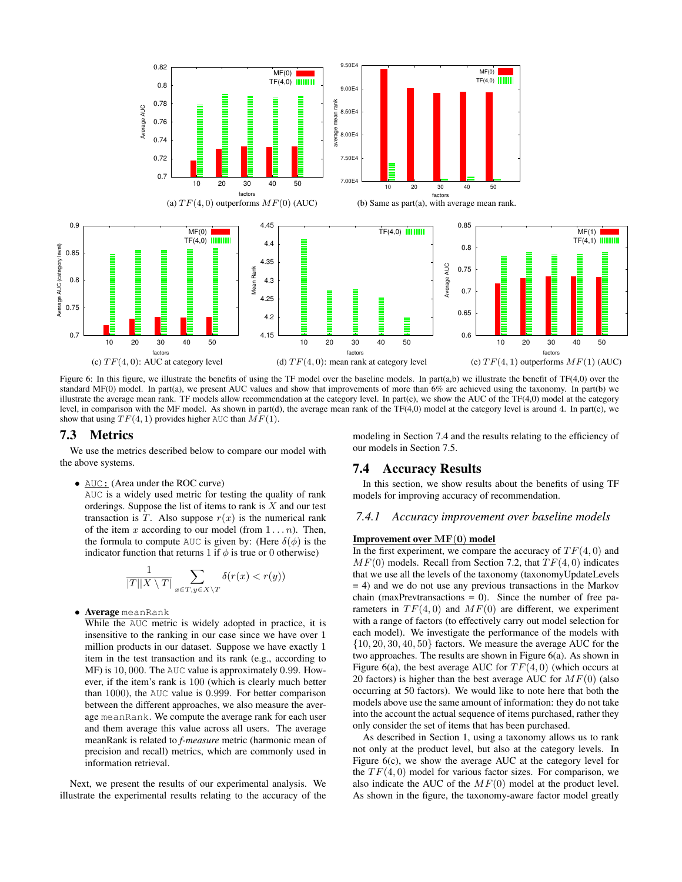

Figure 6: In this figure, we illustrate the benefits of using the TF model over the baseline models. In part(a,b) we illustrate the benefit of TF(4,0) over the standard MF(0) model. In part(a), we present AUC values and show that improvements of more than 6% are achieved using the taxonomy. In part(b) we illustrate the average mean rank. TF models allow recommendation at the category level. In part(c), we show the AUC of the TF(4,0) model at the category level, in comparison with the MF model. As shown in part(d), the average mean rank of the TF(4,0) model at the category level is around 4. In part(e), we show that using  $TF(4, 1)$  provides higher AUC than  $MF(1)$ .

# 7.3 Metrics

We use the metrics described below to compare our model with the above systems.

• AUC: (Area under the ROC curve)

AUC is a widely used metric for testing the quality of rank orderings. Suppose the list of items to rank is  $X$  and our test transaction is T. Also suppose  $r(x)$  is the numerical rank of the item x according to our model (from  $1 \ldots n$ ). Then, the formula to compute AUC is given by: (Here  $\delta(\phi)$ ) is the indicator function that returns 1 if  $\phi$  is true or 0 otherwise)

$$
\frac{1}{|T||X \setminus T|} \sum_{x \in T, y \in X \setminus T} \delta(r(x) < r(y))
$$

Average meanRank

While the AUC metric is widely adopted in practice, it is insensitive to the ranking in our case since we have over 1 million products in our dataset. Suppose we have exactly 1 item in the test transaction and its rank (e.g., according to MF) is 10, 000. The AUC value is approximately 0.99. However, if the item's rank is 100 (which is clearly much better than 1000), the AUC value is 0.999. For better comparison between the different approaches, we also measure the average meanRank. We compute the average rank for each user and them average this value across all users. The average meanRank is related to *f-measure* metric (harmonic mean of precision and recall) metrics, which are commonly used in information retrieval.

Next, we present the results of our experimental analysis. We illustrate the experimental results relating to the accuracy of the modeling in Section 7.4 and the results relating to the efficiency of our models in Section 7.5.

### 7.4 Accuracy Results

In this section, we show results about the benefits of using TF models for improving accuracy of recommendation.

#### *7.4.1 Accuracy improvement over baseline models*

#### Improvement over MF(0) model

In the first experiment, we compare the accuracy of  $TF(4, 0)$  and  $MF(0)$  models. Recall from Section 7.2, that  $TF(4, 0)$  indicates that we use all the levels of the taxonomy (taxonomyUpdateLevels = 4) and we do not use any previous transactions in the Markov chain (maxPrevtransactions  $= 0$ ). Since the number of free parameters in  $TF(4, 0)$  and  $MF(0)$  are different, we experiment with a range of factors (to effectively carry out model selection for each model). We investigate the performance of the models with  $\{10, 20, 30, 40, 50\}$  factors. We measure the average AUC for the two approaches. The results are shown in Figure 6(a). As shown in Figure 6(a), the best average AUC for  $TF(4, 0)$  (which occurs at 20 factors) is higher than the best average AUC for  $MF(0)$  (also occurring at 50 factors). We would like to note here that both the models above use the same amount of information: they do not take into the account the actual sequence of items purchased, rather they only consider the set of items that has been purchased.

As described in Section 1, using a taxonomy allows us to rank not only at the product level, but also at the category levels. In Figure 6(c), we show the average AUC at the category level for the  $TF(4, 0)$  model for various factor sizes. For comparison, we also indicate the AUC of the  $MF(0)$  model at the product level. As shown in the figure, the taxonomy-aware factor model greatly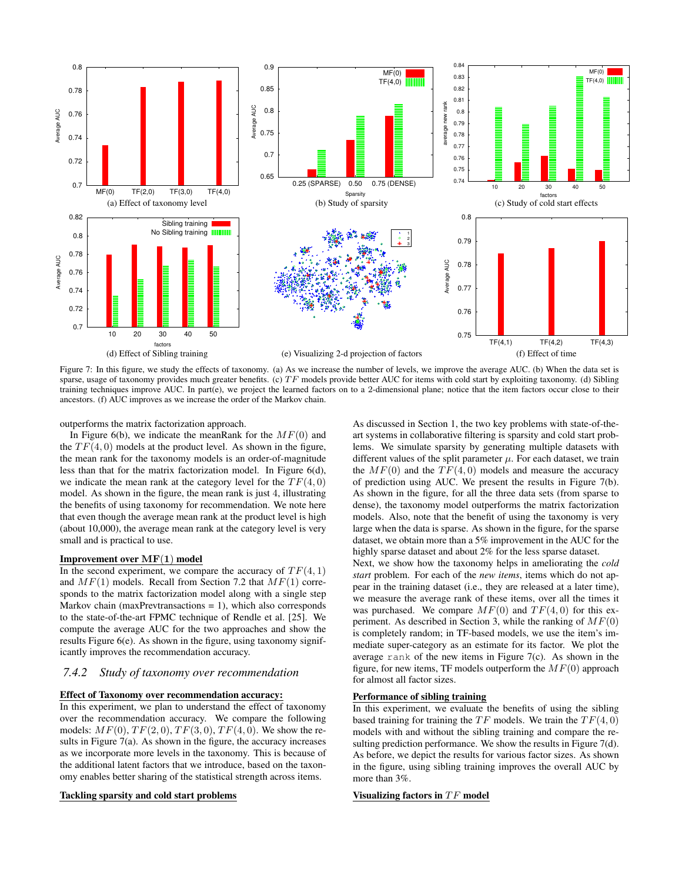

Figure 7: In this figure, we study the effects of taxonomy. (a) As we increase the number of levels, we improve the average AUC. (b) When the data set is sparse, usage of taxonomy provides much greater benefits. (c)  $TF$  models provide better AUC for items with cold start by exploiting taxonomy. (d) Sibling training techniques improve AUC. In part(e), we project the learned factors on to a 2-dimensional plane; notice that the item factors occur close to their ancestors. (f) AUC improves as we increase the order of the Markov chain.

outperforms the matrix factorization approach.

In Figure 6(b), we indicate the meanRank for the  $MF(0)$  and the  $TF(4, 0)$  models at the product level. As shown in the figure, the mean rank for the taxonomy models is an order-of-magnitude less than that for the matrix factorization model. In Figure 6(d), we indicate the mean rank at the category level for the  $TF(4, 0)$ model. As shown in the figure, the mean rank is just 4, illustrating the benefits of using taxonomy for recommendation. We note here that even though the average mean rank at the product level is high (about 10,000), the average mean rank at the category level is very small and is practical to use.

#### Improvement over MF(1) model

In the second experiment, we compare the accuracy of  $TF(4, 1)$ and  $MF(1)$  models. Recall from Section 7.2 that  $MF(1)$  corresponds to the matrix factorization model along with a single step Markov chain (maxPrevtransactions  $= 1$ ), which also corresponds to the state-of-the-art FPMC technique of Rendle et al. [25]. We compute the average AUC for the two approaches and show the results Figure 6(e). As shown in the figure, using taxonomy significantly improves the recommendation accuracy.

#### *7.4.2 Study of taxonomy over recommendation*

#### Effect of Taxonomy over recommendation accuracy:

In this experiment, we plan to understand the effect of taxonomy over the recommendation accuracy. We compare the following models:  $MF(0)$ ,  $TF(2, 0)$ ,  $TF(3, 0)$ ,  $TF(4, 0)$ . We show the results in Figure 7(a). As shown in the figure, the accuracy increases as we incorporate more levels in the taxonomy. This is because of the additional latent factors that we introduce, based on the taxonomy enables better sharing of the statistical strength across items.

#### Tackling sparsity and cold start problems

As discussed in Section 1, the two key problems with state-of-theart systems in collaborative filtering is sparsity and cold start problems. We simulate sparsity by generating multiple datasets with different values of the split parameter  $\mu$ . For each dataset, we train the  $MF(0)$  and the  $TF(4, 0)$  models and measure the accuracy of prediction using AUC. We present the results in Figure 7(b). As shown in the figure, for all the three data sets (from sparse to dense), the taxonomy model outperforms the matrix factorization models. Also, note that the benefit of using the taxonomy is very large when the data is sparse. As shown in the figure, for the sparse dataset, we obtain more than a 5% improvement in the AUC for the highly sparse dataset and about 2% for the less sparse dataset.

Next, we show how the taxonomy helps in ameliorating the *cold start* problem. For each of the *new items*, items which do not appear in the training dataset (i.e., they are released at a later time), we measure the average rank of these items, over all the times it was purchased. We compare  $MF(0)$  and  $TF(4, 0)$  for this experiment. As described in Section 3, while the ranking of  $MF(0)$ is completely random; in TF-based models, we use the item's immediate super-category as an estimate for its factor. We plot the average rank of the new items in Figure 7(c). As shown in the figure, for new items, TF models outperform the  $MF(0)$  approach for almost all factor sizes.

#### Performance of sibling training

In this experiment, we evaluate the benefits of using the sibling based training for training the  $TF$  models. We train the  $TF(4, 0)$ models with and without the sibling training and compare the resulting prediction performance. We show the results in Figure 7(d). As before, we depict the results for various factor sizes. As shown in the figure, using sibling training improves the overall AUC by more than 3%.

#### Visualizing factors in  $TF$  model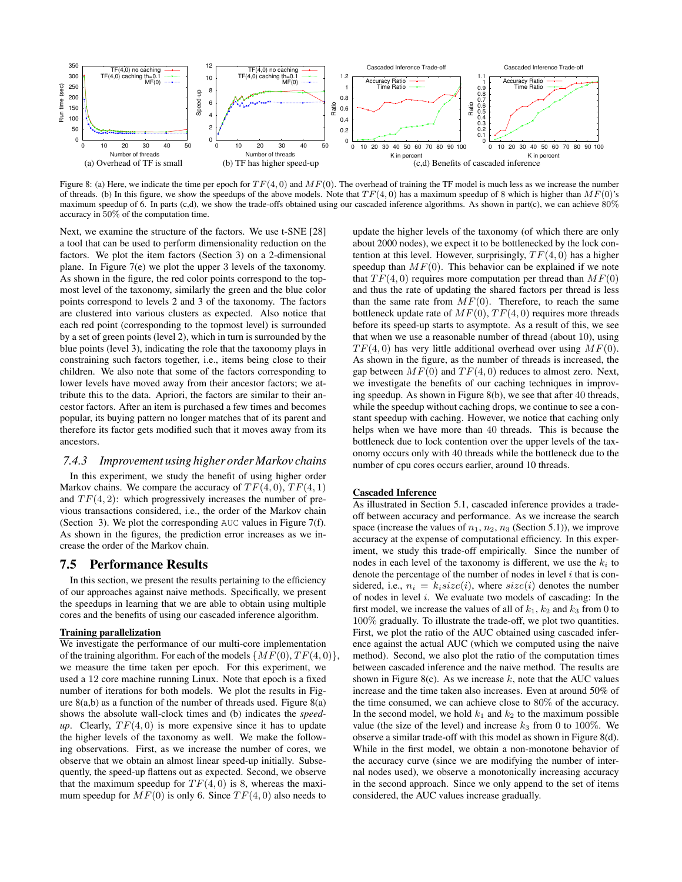

Figure 8: (a) Here, we indicate the time per epoch for  $TF(4, 0)$  and  $MF(0)$ . The overhead of training the TF model is much less as we increase the number of threads. (b) In this figure, we show the speedups of the above models. Note that  $TF(4, 0)$  has a maximum speedup of 8 which is higher than  $MF(0)$ 's maximum speedup of 6. In parts (c,d), we show the trade-offs obtained using our cascaded inference algorithms. As shown in part(c), we can achieve 80% accuracy in 50% of the computation time.

Next, we examine the structure of the factors. We use t-SNE [28] a tool that can be used to perform dimensionality reduction on the factors. We plot the item factors (Section 3) on a 2-dimensional plane. In Figure 7(e) we plot the upper 3 levels of the taxonomy. As shown in the figure, the red color points correspond to the topmost level of the taxonomy, similarly the green and the blue color points correspond to levels 2 and 3 of the taxonomy. The factors are clustered into various clusters as expected. Also notice that each red point (corresponding to the topmost level) is surrounded by a set of green points (level 2), which in turn is surrounded by the blue points (level 3), indicating the role that the taxonomy plays in constraining such factors together, i.e., items being close to their children. We also note that some of the factors corresponding to lower levels have moved away from their ancestor factors; we attribute this to the data. Apriori, the factors are similar to their ancestor factors. After an item is purchased a few times and becomes popular, its buying pattern no longer matches that of its parent and therefore its factor gets modified such that it moves away from its ancestors.

#### *7.4.3 Improvement using higher order Markov chains*

In this experiment, we study the benefit of using higher order Markov chains. We compare the accuracy of  $TF(4, 0)$ ,  $TF(4, 1)$ and  $TF(4, 2)$ : which progressively increases the number of previous transactions considered, i.e., the order of the Markov chain (Section 3). We plot the corresponding AUC values in Figure 7(f). As shown in the figures, the prediction error increases as we increase the order of the Markov chain.

#### 7.5 Performance Results

In this section, we present the results pertaining to the efficiency of our approaches against naive methods. Specifically, we present the speedups in learning that we are able to obtain using multiple cores and the benefits of using our cascaded inference algorithm.

#### Training parallelization

We investigate the performance of our multi-core implementation of the training algorithm. For each of the models  $\{MF(0), TF(4, 0)\},\$ we measure the time taken per epoch. For this experiment, we used a 12 core machine running Linux. Note that epoch is a fixed number of iterations for both models. We plot the results in Figure  $8(a,b)$  as a function of the number of threads used. Figure  $8(a)$ shows the absolute wall-clock times and (b) indicates the *speedup*. Clearly,  $TF(4, 0)$  is more expensive since it has to update the higher levels of the taxonomy as well. We make the following observations. First, as we increase the number of cores, we observe that we obtain an almost linear speed-up initially. Subsequently, the speed-up flattens out as expected. Second, we observe that the maximum speedup for  $TF(4, 0)$  is 8, whereas the maximum speedup for  $MF(0)$  is only 6. Since  $TF(4, 0)$  also needs to

update the higher levels of the taxonomy (of which there are only about 2000 nodes), we expect it to be bottlenecked by the lock contention at this level. However, surprisingly,  $TF(4, 0)$  has a higher speedup than  $MF(0)$ . This behavior can be explained if we note that  $TF(4, 0)$  requires more computation per thread than  $MF(0)$ and thus the rate of updating the shared factors per thread is less than the same rate from  $MF(0)$ . Therefore, to reach the same bottleneck update rate of  $MF(0)$ ,  $TF(4, 0)$  requires more threads before its speed-up starts to asymptote. As a result of this, we see that when we use a reasonable number of thread (about 10), using  $TF(4, 0)$  has very little additional overhead over using  $MF(0)$ . As shown in the figure, as the number of threads is increased, the gap between  $MF(0)$  and  $TF(4, 0)$  reduces to almost zero. Next, we investigate the benefits of our caching techniques in improving speedup. As shown in Figure 8(b), we see that after 40 threads, while the speedup without caching drops, we continue to see a constant speedup with caching. However, we notice that caching only helps when we have more than 40 threads. This is because the bottleneck due to lock contention over the upper levels of the taxonomy occurs only with 40 threads while the bottleneck due to the number of cpu cores occurs earlier, around 10 threads.

#### Cascaded Inference

As illustrated in Section 5.1, cascaded inference provides a tradeoff between accuracy and performance. As we increase the search space (increase the values of  $n_1$ ,  $n_2$ ,  $n_3$  (Section 5.1)), we improve accuracy at the expense of computational efficiency. In this experiment, we study this trade-off empirically. Since the number of nodes in each level of the taxonomy is different, we use the  $k_i$  to denote the percentage of the number of nodes in level  $i$  that is considered, i.e.,  $n_i = k_i size(i)$ , where  $size(i)$  denotes the number of nodes in level  $i$ . We evaluate two models of cascading: In the first model, we increase the values of all of  $k_1$ ,  $k_2$  and  $k_3$  from 0 to 100% gradually. To illustrate the trade-off, we plot two quantities. First, we plot the ratio of the AUC obtained using cascaded inference against the actual AUC (which we computed using the naive method). Second, we also plot the ratio of the computation times between cascaded inference and the naive method. The results are shown in Figure 8(c). As we increase  $k$ , note that the AUC values increase and the time taken also increases. Even at around 50% of the time consumed, we can achieve close to 80% of the accuracy. In the second model, we hold  $k_1$  and  $k_2$  to the maximum possible value (the size of the level) and increase  $k_3$  from 0 to 100%. We observe a similar trade-off with this model as shown in Figure 8(d). While in the first model, we obtain a non-monotone behavior of the accuracy curve (since we are modifying the number of internal nodes used), we observe a monotonically increasing accuracy in the second approach. Since we only append to the set of items considered, the AUC values increase gradually.